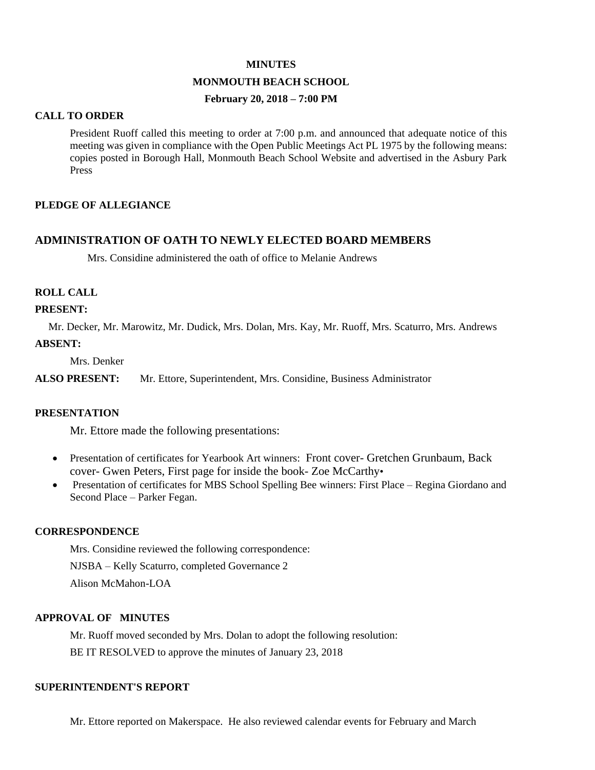#### **MINUTES**

## **MONMOUTH BEACH SCHOOL**

## **February 20, 2018 – 7:00 PM**

### **CALL TO ORDER**

President Ruoff called this meeting to order at 7:00 p.m. and announced that adequate notice of this meeting was given in compliance with the Open Public Meetings Act PL 1975 by the following means: copies posted in Borough Hall, Monmouth Beach School Website and advertised in the Asbury Park Press

## **PLEDGE OF ALLEGIANCE**

## **ADMINISTRATION OF OATH TO NEWLY ELECTED BOARD MEMBERS**

Mrs. Considine administered the oath of office to Melanie Andrews

### **ROLL CALL**

#### **PRESENT:**

 Mr. Decker, Mr. Marowitz, Mr. Dudick, Mrs. Dolan, Mrs. Kay, Mr. Ruoff, Mrs. Scaturro, Mrs. Andrews **ABSENT:**

Mrs. Denker

**ALSO PRESENT:** Mr. Ettore, Superintendent, Mrs. Considine, Business Administrator

## **PRESENTATION**

Mr. Ettore made the following presentations:

- Presentation of certificates for Yearbook Art winners: Front cover- Gretchen Grunbaum, Back cover- Gwen Peters, First page for inside the book- Zoe McCarthy•
- Presentation of certificates for MBS School Spelling Bee winners: First Place Regina Giordano and Second Place – Parker Fegan.

## **CORRESPONDENCE**

Mrs. Considine reviewed the following correspondence: NJSBA – Kelly Scaturro, completed Governance 2 Alison McMahon-LOA

## **APPROVAL OF MINUTES**

Mr. Ruoff moved seconded by Mrs. Dolan to adopt the following resolution: BE IT RESOLVED to approve the minutes of January 23, 2018

### **SUPERINTENDENT'S REPORT**

Mr. Ettore reported on Makerspace. He also reviewed calendar events for February and March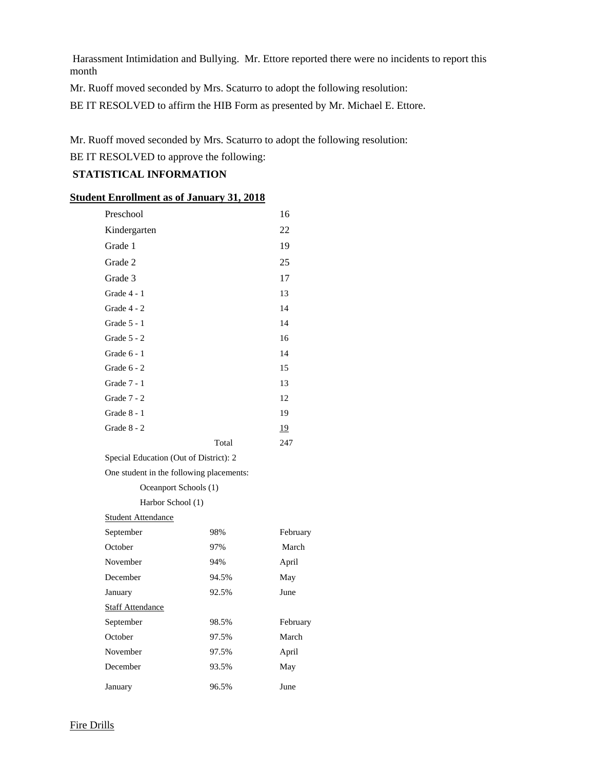Harassment Intimidation and Bullying. Mr. Ettore reported there were no incidents to report this month

Mr. Ruoff moved seconded by Mrs. Scaturro to adopt the following resolution:

BE IT RESOLVED to affirm the HIB Form as presented by Mr. Michael E. Ettore.

Mr. Ruoff moved seconded by Mrs. Scaturro to adopt the following resolution:

BE IT RESOLVED to approve the following:

## **STATISTICAL INFORMATION**

## **Student Enrollment as of January 31, 2018**

| Preschool     |       | 16        |
|---------------|-------|-----------|
| Kindergarten  |       | 22        |
| Grade 1       |       | 19        |
| Grade 2       |       | 25        |
| Grade 3       |       | 17        |
| Grade 4 - 1   |       | 13        |
| Grade $4 - 2$ |       | 14        |
| Grade $5 - 1$ |       | 14        |
| Grade $5 - 2$ |       | 16        |
| Grade $6 - 1$ |       | 14        |
| Grade 6 - 2   |       | 15        |
| Grade 7 - 1   |       | 13        |
| Grade 7 - 2   |       | 12        |
| Grade $8 - 1$ |       | 19        |
| Grade $8 - 2$ |       | <u>19</u> |
|               | Total | 247       |
|               |       |           |

Special Education (Out of District): 2

One student in the following placements:

Oceanport Schools (1)

Harbor School (1)

### Student Attendance

| September               | 98%   | February |
|-------------------------|-------|----------|
| October                 | 97%   | March    |
| November                | 94%   | April    |
| December                | 94.5% | May      |
| January                 | 92.5% | June     |
| <b>Staff Attendance</b> |       |          |
| September               | 98.5% | February |
| October                 | 97.5% | March    |
| November                | 97.5% | April    |
| December                | 93.5% | May      |
| January                 | 96.5% | June     |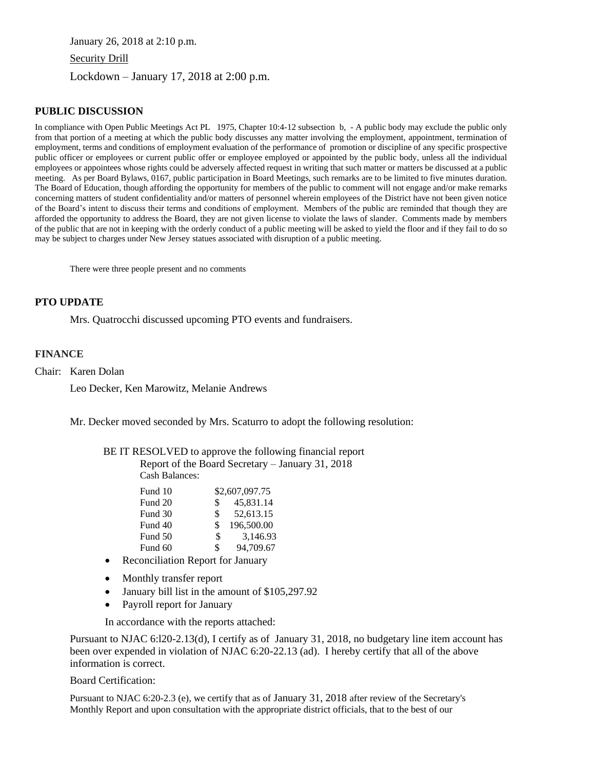January 26, 2018 at 2:10 p.m. Security Drill Lockdown – January 17, 2018 at 2:00 p.m.

### **PUBLIC DISCUSSION**

In compliance with Open Public Meetings Act PL 1975, Chapter 10:4-12 subsection b, - A public body may exclude the public only from that portion of a meeting at which the public body discusses any matter involving the employment, appointment, termination of employment, terms and conditions of employment evaluation of the performance of promotion or discipline of any specific prospective public officer or employees or current public offer or employee employed or appointed by the public body, unless all the individual employees or appointees whose rights could be adversely affected request in writing that such matter or matters be discussed at a public meeting. As per Board Bylaws, 0167, public participation in Board Meetings, such remarks are to be limited to five minutes duration. The Board of Education, though affording the opportunity for members of the public to comment will not engage and/or make remarks concerning matters of student confidentiality and/or matters of personnel wherein employees of the District have not been given notice of the Board's intent to discuss their terms and conditions of employment. Members of the public are reminded that though they are afforded the opportunity to address the Board, they are not given license to violate the laws of slander. Comments made by members of the public that are not in keeping with the orderly conduct of a public meeting will be asked to yield the floor and if they fail to do so may be subject to charges under New Jersey statues associated with disruption of a public meeting.

There were three people present and no comments

### **PTO UPDATE**

Mrs. Quatrocchi discussed upcoming PTO events and fundraisers.

#### **FINANCE**

Chair: Karen Dolan

Leo Decker, Ken Marowitz, Melanie Andrews

Mr. Decker moved seconded by Mrs. Scaturro to adopt the following resolution:

BE IT RESOLVED to approve the following financial report Report of the Board Secretary – January 31, 2018

Cash Balances:

|     | \$2,607,097.75 |
|-----|----------------|
| \$. | 45,831.14      |
| \$  | 52,613.15      |
| \$  | 196,500.00     |
| \$  | 3,146.93       |
| \$  | 94,709.67      |
|     |                |

- Reconciliation Report for January
- Monthly transfer report
- January bill list in the amount of \$105,297.92
- Payroll report for January

In accordance with the reports attached:

Pursuant to NJAC 6:l20-2.13(d), I certify as of January 31, 2018, no budgetary line item account has been over expended in violation of NJAC 6:20-22.13 (ad). I hereby certify that all of the above information is correct.

Board Certification:

Pursuant to NJAC 6:20-2.3 (e), we certify that as of January 31, 2018 after review of the Secretary's Monthly Report and upon consultation with the appropriate district officials, that to the best of our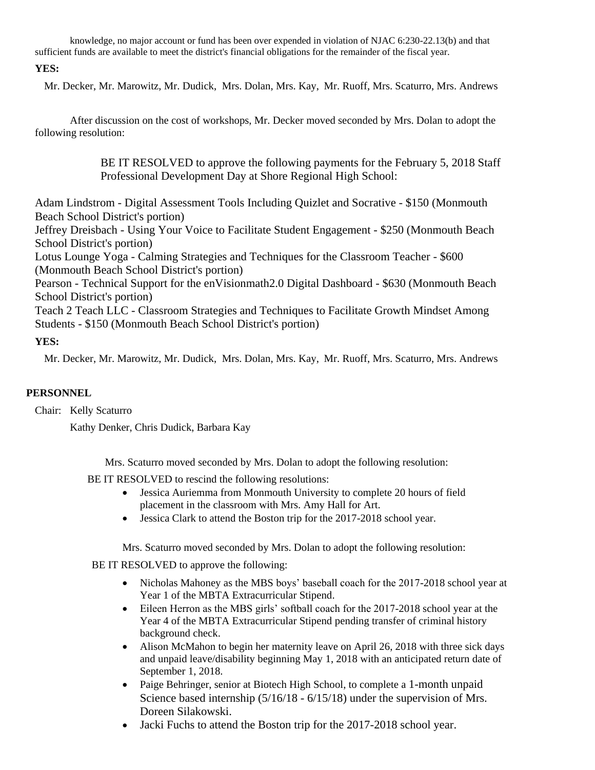knowledge, no major account or fund has been over expended in violation of NJAC 6:230-22.13(b) and that sufficient funds are available to meet the district's financial obligations for the remainder of the fiscal year.

# **YES:**

Mr. Decker, Mr. Marowitz, Mr. Dudick, Mrs. Dolan, Mrs. Kay, Mr. Ruoff, Mrs. Scaturro, Mrs. Andrews

After discussion on the cost of workshops, Mr. Decker moved seconded by Mrs. Dolan to adopt the following resolution:

> BE IT RESOLVED to approve the following payments for the February 5, 2018 Staff Professional Development Day at Shore Regional High School:

Adam Lindstrom - Digital Assessment Tools Including Quizlet and Socrative - \$150 (Monmouth Beach School District's portion)

Jeffrey Dreisbach - Using Your Voice to Facilitate Student Engagement - \$250 (Monmouth Beach School District's portion)

Lotus Lounge Yoga - Calming Strategies and Techniques for the Classroom Teacher - \$600 (Monmouth Beach School District's portion)

Pearson - Technical Support for the enVisionmath2.0 Digital Dashboard - \$630 (Monmouth Beach School District's portion)

Teach 2 Teach LLC - Classroom Strategies and Techniques to Facilitate Growth Mindset Among Students - \$150 (Monmouth Beach School District's portion)

# **YES:**

Mr. Decker, Mr. Marowitz, Mr. Dudick, Mrs. Dolan, Mrs. Kay, Mr. Ruoff, Mrs. Scaturro, Mrs. Andrews

# **PERSONNEL**

Chair: Kelly Scaturro

Kathy Denker, Chris Dudick, Barbara Kay

Mrs. Scaturro moved seconded by Mrs. Dolan to adopt the following resolution:

- BE IT RESOLVED to rescind the following resolutions:
	- Jessica Auriemma from Monmouth University to complete 20 hours of field placement in the classroom with Mrs. Amy Hall for Art.
	- Jessica Clark to attend the Boston trip for the 2017-2018 school year.

Mrs. Scaturro moved seconded by Mrs. Dolan to adopt the following resolution:

BE IT RESOLVED to approve the following:

- Nicholas Mahoney as the MBS boys' baseball coach for the 2017-2018 school year at Year 1 of the MBTA Extracurricular Stipend.
- Eileen Herron as the MBS girls' softball coach for the 2017-2018 school year at the Year 4 of the MBTA Extracurricular Stipend pending transfer of criminal history background check.
- Alison McMahon to begin her maternity leave on April 26, 2018 with three sick days and unpaid leave/disability beginning May 1, 2018 with an anticipated return date of September 1, 2018.
- Paige Behringer, senior at Biotech High School, to complete a 1-month unpaid Science based internship (5/16/18 - 6/15/18) under the supervision of Mrs. Doreen Silakowski.
- Jacki Fuchs to attend the Boston trip for the 2017-2018 school year.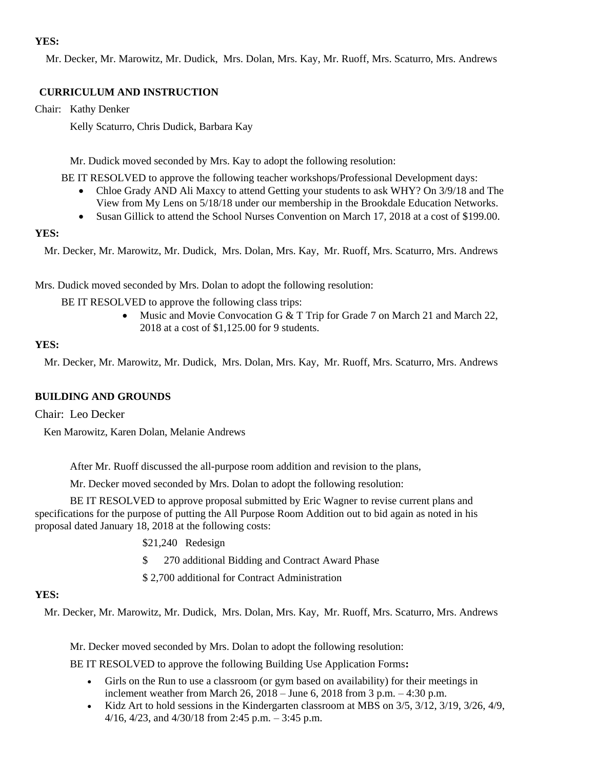## **YES:**

Mr. Decker, Mr. Marowitz, Mr. Dudick, Mrs. Dolan, Mrs. Kay, Mr. Ruoff, Mrs. Scaturro, Mrs. Andrews

## **CURRICULUM AND INSTRUCTION**

Chair: Kathy Denker

Kelly Scaturro, Chris Dudick, Barbara Kay

Mr. Dudick moved seconded by Mrs. Kay to adopt the following resolution:

BE IT RESOLVED to approve the following teacher workshops/Professional Development days:

- Chloe Grady AND Ali Maxcy to attend Getting your students to ask WHY? On 3/9/18 and The View from My Lens on 5/18/18 under our membership in the Brookdale Education Networks.
- Susan Gillick to attend the School Nurses Convention on March 17, 2018 at a cost of \$199.00.

## **YES:**

Mr. Decker, Mr. Marowitz, Mr. Dudick, Mrs. Dolan, Mrs. Kay, Mr. Ruoff, Mrs. Scaturro, Mrs. Andrews

Mrs. Dudick moved seconded by Mrs. Dolan to adopt the following resolution:

BE IT RESOLVED to approve the following class trips:

 Music and Movie Convocation G & T Trip for Grade 7 on March 21 and March 22, 2018 at a cost of \$1,125.00 for 9 students.

## **YES:**

Mr. Decker, Mr. Marowitz, Mr. Dudick, Mrs. Dolan, Mrs. Kay, Mr. Ruoff, Mrs. Scaturro, Mrs. Andrews

## **BUILDING AND GROUNDS**

Chair: Leo Decker

Ken Marowitz, Karen Dolan, Melanie Andrews

After Mr. Ruoff discussed the all-purpose room addition and revision to the plans,

Mr. Decker moved seconded by Mrs. Dolan to adopt the following resolution:

BE IT RESOLVED to approve proposal submitted by Eric Wagner to revise current plans and specifications for the purpose of putting the All Purpose Room Addition out to bid again as noted in his proposal dated January 18, 2018 at the following costs:

- \$21,240 Redesign
- \$ 270 additional Bidding and Contract Award Phase

\$ 2,700 additional for Contract Administration

## **YES:**

Mr. Decker, Mr. Marowitz, Mr. Dudick, Mrs. Dolan, Mrs. Kay, Mr. Ruoff, Mrs. Scaturro, Mrs. Andrews

Mr. Decker moved seconded by Mrs. Dolan to adopt the following resolution:

BE IT RESOLVED to approve the following Building Use Application Forms**:** 

- Girls on the Run to use a classroom (or gym based on availability) for their meetings in inclement weather from March 26, 2018 – June 6, 2018 from 3 p.m. – 4:30 p.m.
- $\bullet$  Kidz Art to hold sessions in the Kindergarten classroom at MBS on  $3/5$ ,  $3/12$ ,  $3/19$ ,  $3/26$ ,  $4/9$ , 4/16, 4/23, and 4/30/18 from 2:45 p.m. – 3:45 p.m.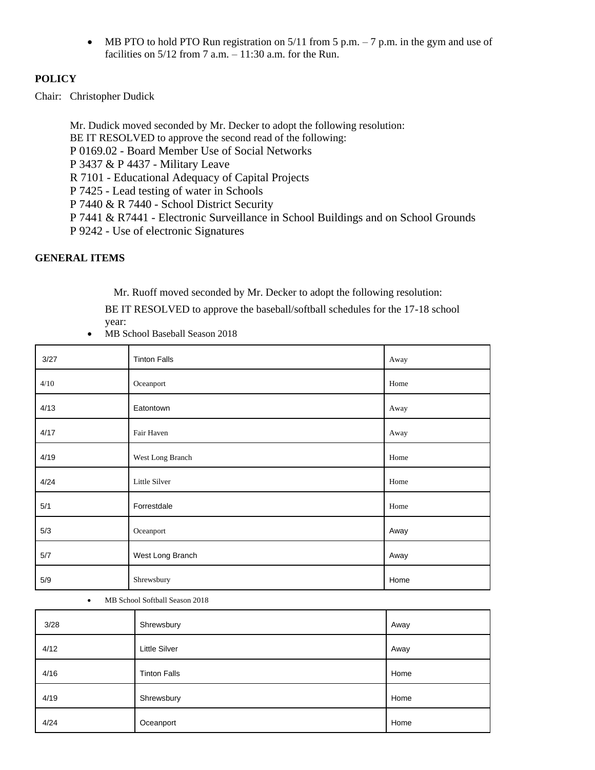• MB PTO to hold PTO Run registration on  $5/11$  from 5 p.m.  $-7$  p.m. in the gym and use of facilities on  $5/12$  from 7 a.m.  $-11:30$  a.m. for the Run.

### **POLICY**

Chair: Christopher Dudick

Mr. Dudick moved seconded by Mr. Decker to adopt the following resolution: BE IT RESOLVED to approve the second read of the following: P 0169.02 - Board Member Use of Social Networks P 3437 & P 4437 - Military Leave R 7101 - Educational Adequacy of Capital Projects P 7425 - Lead testing of water in Schools P 7440 & R 7440 - School District Security P 7441 & R7441 - Electronic Surveillance in School Buildings and on School Grounds P 9242 - Use of electronic Signatures

## **GENERAL ITEMS**

Mr. Ruoff moved seconded by Mr. Decker to adopt the following resolution:

BE IT RESOLVED to approve the baseball/softball schedules for the 17-18 school year:

MB School Baseball Season 2018

| 3/27 | <b>Tinton Falls</b> | Away |
|------|---------------------|------|
| 4/10 | Oceanport           | Home |
| 4/13 | Eatontown           | Away |
| 4/17 | Fair Haven          | Away |
| 4/19 | West Long Branch    | Home |
| 4/24 | Little Silver       | Home |
| 5/1  | Forrestdale         | Home |
| 5/3  | Oceanport           | Away |
| 5/7  | West Long Branch    | Away |
| 5/9  | Shrewsbury          | Home |

MB School Softball Season 2018

| 3/28 | Shrewsbury           | Away |
|------|----------------------|------|
| 4/12 | <b>Little Silver</b> | Away |
| 4/16 | <b>Tinton Falls</b>  | Home |
| 4/19 | Shrewsbury           | Home |
| 4/24 | Oceanport            | Home |